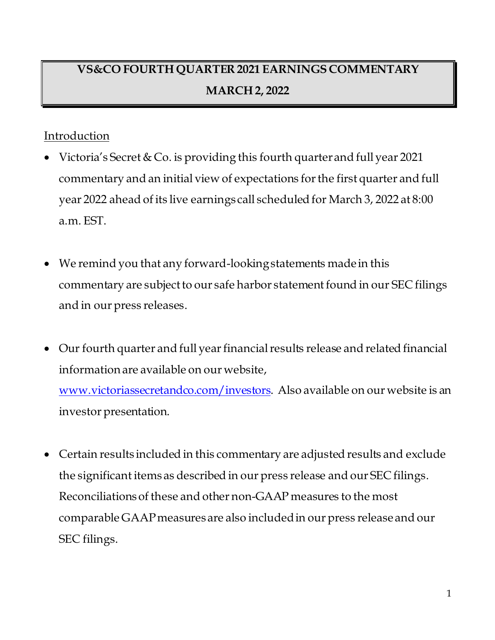## **VS&CO FOURTH QUARTER 2021 EARNINGS COMMENTARY MARCH 2, 2022**

## Introduction

- Victoria's Secret & Co. is providing this fourth quarter and full year 2021 commentary and an initial view of expectations for the first quarter and full year 2022 ahead of its live earnings call scheduled for March 3, 2022 at 8:00 a.m. EST.
- We remind you that any forward-looking statements made in this commentary are subjectto our safe harbor statement found in our SEC filings and in our press releases.
- Our fourth quarter and full year financial results release and related financial information are available on our website,

[www.victoriassecretandco.com/investors](http://www.victoriassecretandco.com/investors). Also available on our website is an investor presentation.

• Certain results included in this commentary are adjusted results and exclude the significant items as described in our press release and our SEC filings. Reconciliations of these and other non-GAAP measures to the most comparable GAAP measures are also included in our press release and our SEC filings.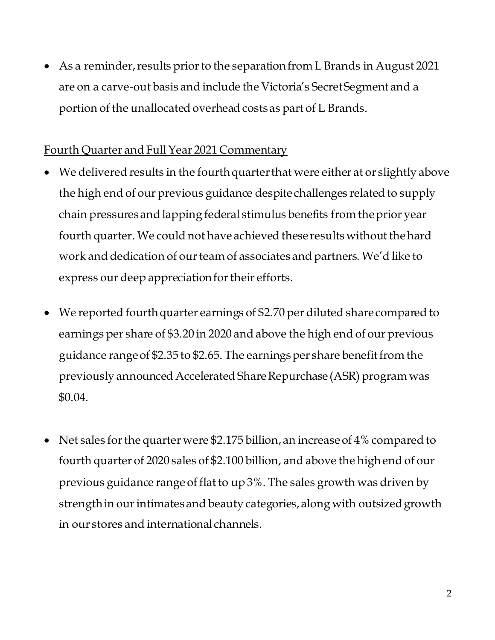• As a reminder, results prior to the separation from L Brands in August 2021 are on a carve-out basis and include the Victoria's Secret Segment and a portion of the unallocated overhead costs as part of L Brands.

## Fourth Quarter and Full Year 2021 Commentary

- We delivered results in the fourth quarter that were either at or slightly above the high end of our previous guidance despite challenges related to supply chain pressures and lapping federal stimulus benefits from the prior year fourth quarter. We could not have achieved these results without the hard work and dedication of our team of associates and partners. We'd like to express our deep appreciation for their efforts.
- We reported fourth quarter earnings of \$2.70 per diluted share compared to earnings per share of \$3.20 in 2020 and above the high end of our previous guidance range of \$2.35 to \$2.65. The earnings per share benefit from the previously announced Accelerated Share Repurchase (ASR) program was \$0.04.
- Net sales for the quarter were \$2.175 billion, an increase of 4% compared to fourth quarter of 2020 sales of \$2.100 billion, and above the high end of our previous guidance range of flat to up 3%. The sales growth was driven by strength in our intimates and beauty categories, along with outsized growth in our stores and international channels.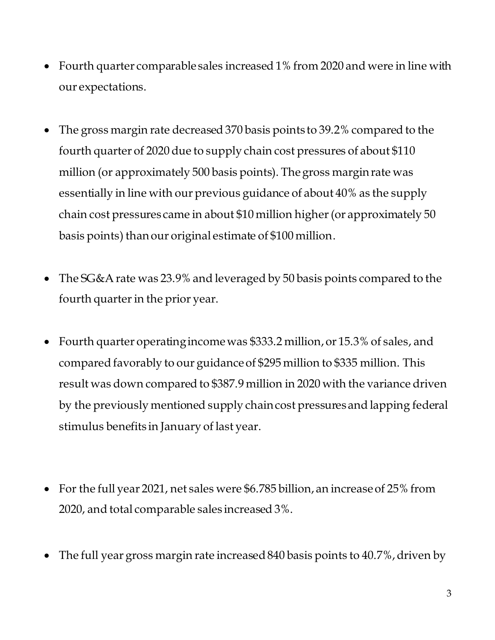- Fourth quarter comparable sales increased 1% from 2020 and were in line with our expectations.
- The gross margin rate decreased 370 basis points to 39.2% compared to the fourth quarter of 2020 due to supply chain cost pressures of about \$110 million (or approximately 500 basis points). The gross margin rate was essentially in line with our previous guidance of about 40% as the supply chain cost pressures came in about \$10 million higher(or approximately 50 basis points) than our original estimate of \$100 million.
- The SG&A rate was 23.9% and leveraged by 50 basis points compared to the fourth quarter in the prior year.
- Fourth quarter operating income was \$333.2 million, or 15.3% of sales, and compared favorably to our guidance of \$295 million to \$335 million. This result was down compared to \$387.9 million in 2020 with the variance driven by the previously mentioned supply chain cost pressures and lapping federal stimulus benefits in January of last year.
- For the full year 2021, net sales were \$6.785 billion, an increase of 25% from 2020, and total comparable sales increased 3%.
- The full year gross margin rate increased 840 basis points to 40.7%, driven by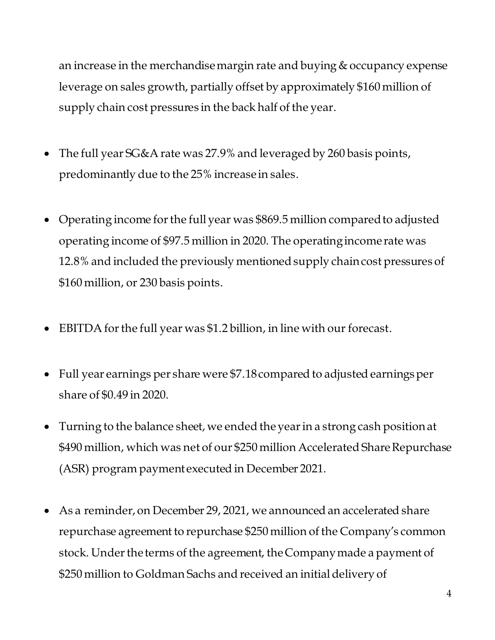an increase in the merchandise margin rate and buying & occupancy expense leverage on sales growth, partially offset by approximately \$160 million of supply chain cost pressures in the back half of the year.

- The full year SG&A rate was 27.9% and leveraged by 260 basis points, predominantly due to the 25% increase in sales.
- Operating income for the full year was \$869.5 million compared to adjusted operating income of \$97.5 million in 2020. The operating income rate was 12.8% and included the previously mentioned supply chain cost pressures of \$160 million, or 230 basis points.
- EBITDA for the full year was \$1.2 billion, in line with our forecast.
- Full year earnings per share were \$7.18compared to adjusted earnings per share of \$0.49 in 2020.
- Turning to the balance sheet, we ended the year in a strong cash position at \$490 million, which was net of our \$250 million Accelerated Share Repurchase (ASR) program payment executed in December 2021.
- As a reminder, on December 29, 2021, we announced an accelerated share repurchase agreement to repurchase \$250 million of the Company's common stock. Under the terms of the agreement, the Company made a payment of \$250 million to Goldman Sachs and received an initial delivery of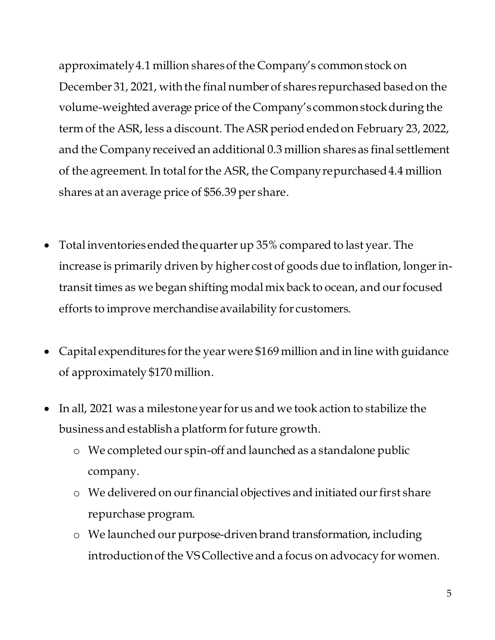approximately 4.1 million shares of the Company's common stock on December 31, 2021, with the final number of shares repurchased based on the volume-weighted average price of the Company's common stock during the term of the ASR, less a discount. The ASR period ended on February 23, 2022, and the Company received an additional 0.3 million shares as final settlement of the agreement. In total for the ASR, the Company repurchased 4.4 million shares at an average price of \$56.39 per share.

- Total inventories ended the quarter up 35% compared to last year. The increase is primarily driven by higher cost of goods due to inflation, longer intransit times as we began shifting modal mix back to ocean, and our focused efforts to improve merchandise availability for customers.
- Capital expenditures for the year were \$169 million and in line with guidance of approximately \$170 million.
- In all, 2021 was a milestone year for us and we took action to stabilize the business and establish a platform for future growth.
	- o We completed our spin-off and launched as a standalone public company.
	- o We delivered on our financial objectives and initiated our first share repurchase program.
	- o We launched our purpose-driven brand transformation, including introduction of the VS Collective and a focus on advocacy for women.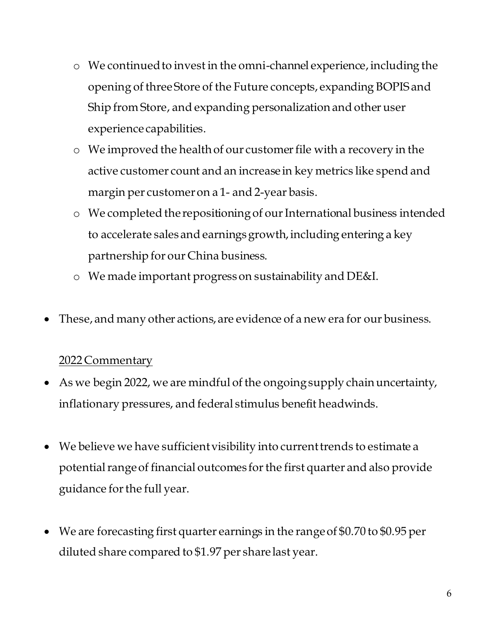- o We continued to invest in the omni-channel experience,including the opening of three Store of the Future concepts, expanding BOPIS and Ship from Store, and expanding personalization and other user experience capabilities.
- o We improved the health of our customer file with a recovery in the active customer count and an increase in key metrics like spend and margin per customer on a 1- and 2-year basis.
- o We completed the repositioning of our International business intended to accelerate sales and earnings growth, including entering a key partnership for our China business.
- o We made important progress on sustainability and DE&I.
- These, and many other actions, are evidence of a new era for our business.

## 2022 Commentary

- As we begin 2022, we are mindful of the ongoing supply chain uncertainty, inflationary pressures, and federal stimulus benefit headwinds.
- We believe we have sufficient visibility into current trends to estimate a potential range of financial outcomes for the first quarter and also provide guidance for the full year.
- We are forecasting first quarter earnings in the range of \$0.70 to \$0.95 per diluted share compared to \$1.97 per share last year.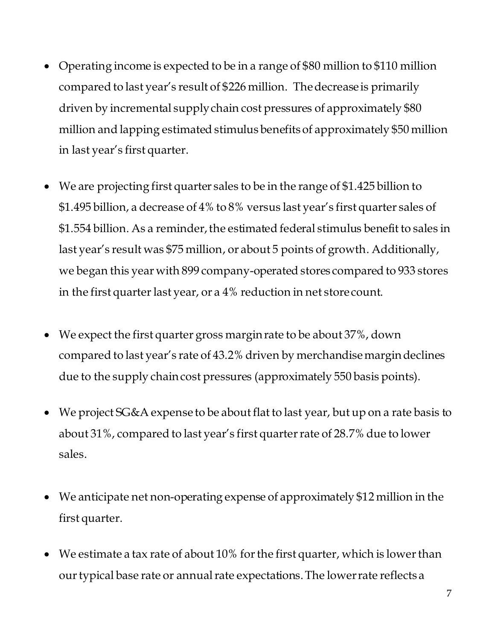- Operating income is expected to be in a range of \$80 million to \$110 million compared to last year's result of \$226 million. The decrease is primarily driven by incremental supply chain cost pressures of approximately \$80 million and lapping estimated stimulus benefits of approximately \$50 million in last year's first quarter.
- We are projecting first quarter sales to be in the range of \$1.425 billion to \$1.495 billion, a decrease of 4% to 8% versus last year's first quarter sales of \$1.554 billion. As a reminder, the estimated federal stimulus benefit to sales in last year's result was \$75 million, or about 5 points of growth. Additionally, we began this year with 899 company-operated stores compared to 933 stores in the first quarter last year, or a 4% reduction in net store count.
- We expect the first quarter gross margin rate to be about 37%, down compared to last year's rate of 43.2% driven by merchandise margin declines due to the supply chain cost pressures (approximately 550 basis points).
- We project SG&A expense to be about flat to last year, but up on a rate basis to about 31%, compared to last year's first quarter rate of 28.7% due to lower sales.
- We anticipate net non-operating expense of approximately \$12 million in the first quarter.
- We estimate a tax rate of about 10% for the first quarter, which is lower than our typical base rate or annual rate expectations. The lower rate reflects a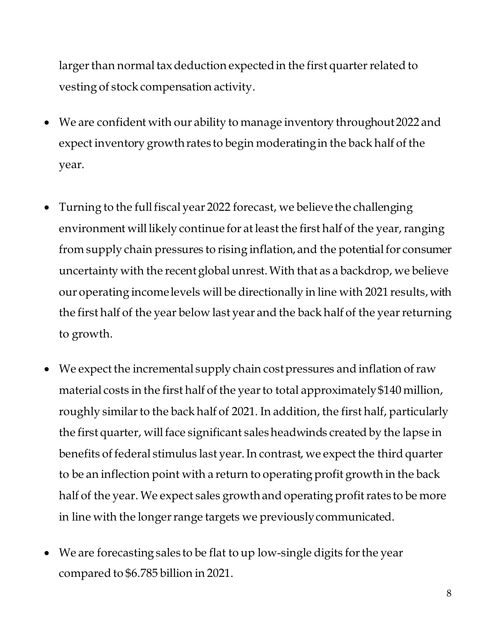larger than normal tax deduction expected in the first quarter related to vesting of stock compensation activity.

- We are confident with our ability to manage inventory throughout 2022 and expect inventory growth rates to begin moderating in the back half of the year.
- Turning to the full fiscal year 2022 forecast, we believe the challenging environment will likely continue for at least the first half of the year, ranging from supply chain pressures to rising inflation, and the potential for consumer uncertainty with the recent global unrest. With that as a backdrop, we believe our operating income levels will be directionally in line with 2021 results, with the first half of the year below last year and the back half of the year returning to growth.
- We expect the incremental supply chain cost pressures and inflation of raw material costs in the first half of the year to total approximately \$140 million, roughly similar to the back half of 2021. In addition, the first half, particularly the first quarter, will face significant sales headwinds created by the lapse in benefits of federal stimulus last year. In contrast, we expect the third quarter to be an inflection point with a return to operating profit growth in the back half of the year. We expect sales growth and operating profit rates to be more in line with the longer range targets we previously communicated.
- We are forecasting sales to be flat to up low-single digits for the year compared to \$6.785 billion in 2021.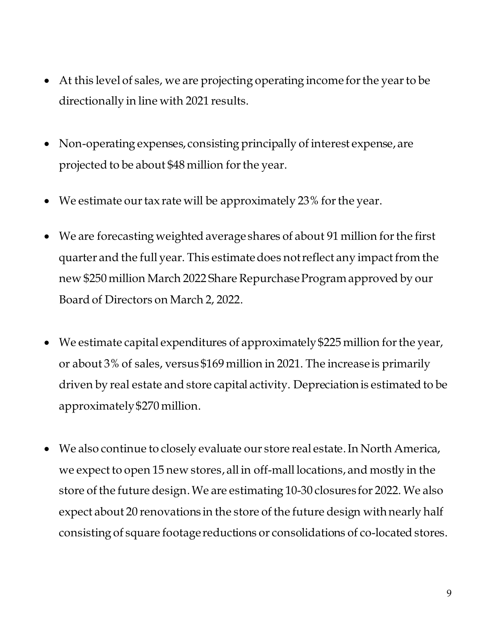- At this level of sales, we are projecting operating income for the year to be directionally in line with 2021 results.
- Non-operating expenses, consisting principally of interest expense, are projected to be about \$48 million for the year.
- We estimate our tax rate will be approximately 23% for the year.
- We are forecasting weighted average shares of about 91 million for the first quarter and the full year. This estimate does not reflect any impact from the new \$250 million March 2022 Share Repurchase Program approved by our Board of Directors on March 2, 2022.
- We estimate capital expenditures of approximately \$225 million for the year, or about 3% of sales, versus \$169 million in 2021. The increase is primarily driven by real estate and store capital activity. Depreciation is estimated to be approximately \$270 million.
- We also continue to closely evaluate our store real estate. In North America, we expect to open 15 new stores, all in off-mall locations, and mostly in the store of the future design. We are estimating 10-30 closures for 2022. We also expect about 20 renovations in the store of the future design with nearly half consisting of square footage reductions or consolidations of co-located stores.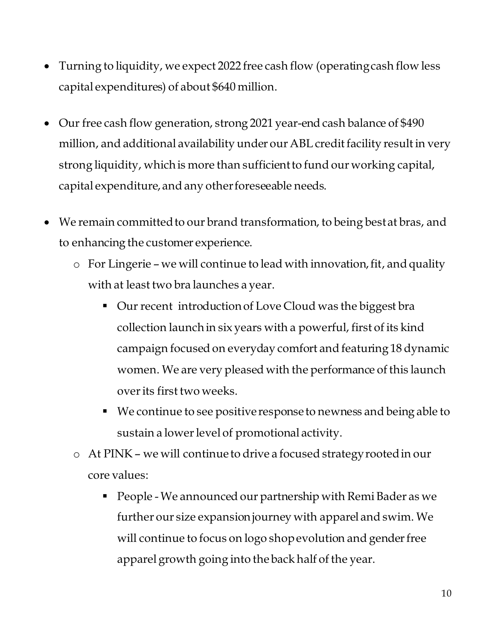- Turning to liquidity, we expect 2022 free cash flow (operating cash flow less capital expenditures) of about \$640 million.
- Our free cash flow generation, strong 2021 year-end cash balance of \$490 million, and additional availability under our ABL credit facility result in very strong liquidity, which is more than sufficient to fund our working capital, capital expenditure, and any other foreseeable needs.
- We remain committed to our brand transformation, to being best at bras, and to enhancing the customer experience.
	- o For Lingerie we will continue to lead with innovation, fit, and quality with at least two bra launches a year.
		- Our recent introduction of Love Cloud was the biggest bra collection launch in six years with a powerful, first of its kind campaign focused on everyday comfort and featuring 18 dynamic women. We are very pleased with the performance of this launch over its first two weeks.
		- We continue to see positive response to newness and being able to sustain a lower level of promotional activity.
	- o At PINK we will continue to drive a focused strategy rooted in our core values:
		- People We announced our partnership with Remi Bader as we further our size expansion journey with apparel and swim. We will continue to focus on logo shop evolution and gender free apparel growth going into the back half of the year.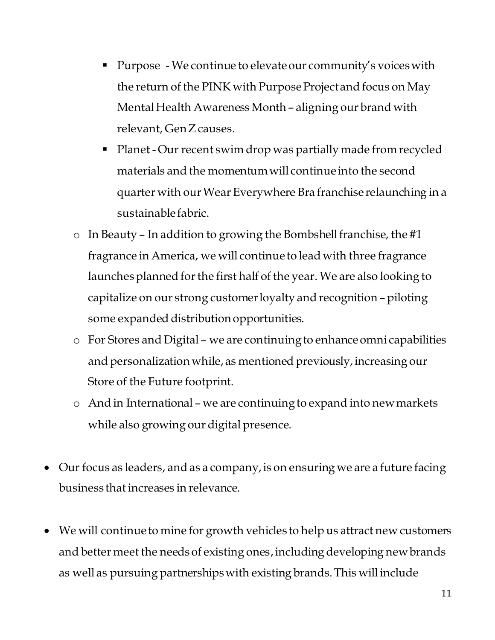- Purpose We continue to elevate our community's voices with the return of the PINK with Purpose Project and focus on May Mental Health Awareness Month – aligning our brand with relevant, Gen Z causes.
- Planet Our recent swim drop was partially made from recycled materials and the momentum will continue into the second quarter with our Wear Everywhere Bra franchise relaunching in a sustainable fabric.
- o In Beauty In addition to growing the Bombshell franchise, the #1 fragrance in America, we will continue to lead with three fragrance launches planned for the first half of the year. We are also looking to capitalize on our strong customer loyalty and recognition – piloting some expanded distribution opportunities.
- o For Stores and Digital we are continuing to enhance omni capabilities and personalization while, as mentioned previously, increasing our Store of the Future footprint.
- o And in International we are continuing to expand into new markets while also growing our digital presence.
- Our focus as leaders, and as a company, is on ensuring we are a future facing business that increases in relevance.
- We will continue to mine for growth vehicles to help us attract new customers and better meet the needs of existing ones, including developing new brands as well as pursuing partnerships with existing brands. This will include